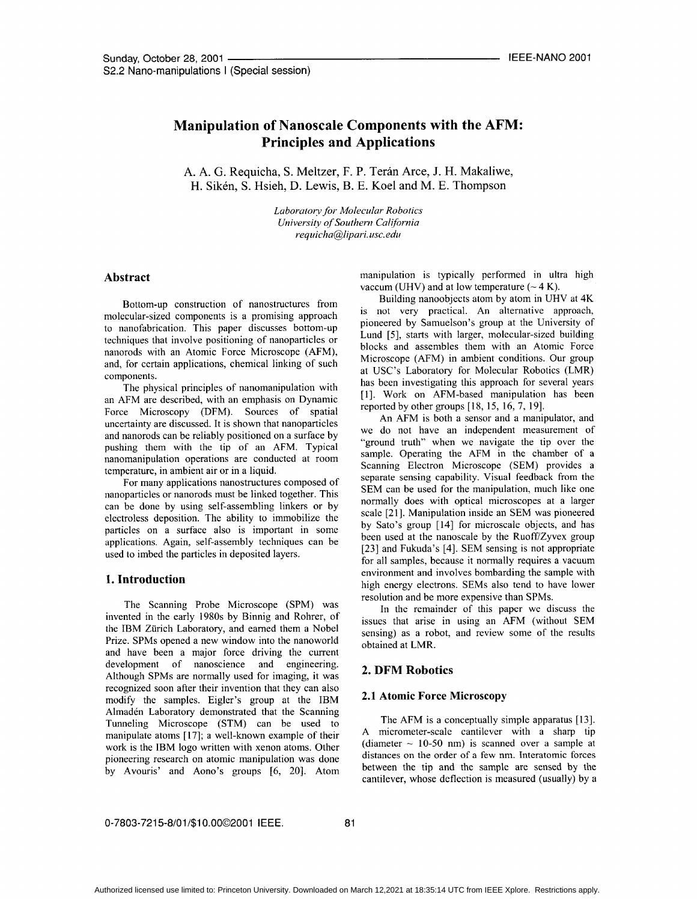# **Manipulation of Nanoscale Components with the AFM: Principles and Applications**

**A.** A. G. Requicha, **S.** Meltzer, F. P. Teran Arce, J. H. Makaliwe, H. Siken, **S.** Hsieh, D. Lewis, B. E. Koel and M. E. Thompson

> *Laboratorv for Molecular Robotics Universitv of Southern California requicha@lipari. usc. edu*

# **Abstract**

Bottom-up construction of nanostructures from molecular-sized components is a promising approach to nanofabrication. This paper discusses bottom-up techniques that involve positioning of nanoparticles or nanorods with an Atomic Force Microscope (AFM), and, for certain applications, chemical linking of such components.

The physical principles of nanomanipulation with an AFM are described, with an emphasis on Dynamic Force Microscopy (DFM). Sources of spatial uncertainty are discussed. It is shown that nanoparticles and nanorods can be reliably positioned on a surface by pushing them with the tip of an AFM. Typical nanomanipulation operations are conducted at room temperature, in ambient air or in a liquid.

For many applications nanostructures composed of nanoparticles or nanorods must be linked together. This can be done by using self-assembling linkers or by electroless deposition. The ability to immobilize the particles on a surface also is important in some applications. Again, self-assembly techniques can be used to imbed the particles in deposited layers.

#### **1. Introduction**

The Scanning Probe Microscope (SPM) was invented in the early 1980s by Binnig and Rohrer, of the IBM Zürich Laboratory, and earned them a Nobel Prize. SPMs opened a new window into the nanoworld and have been a major force driving the current development of nanoscience and engineering. Although SPMs are normally used for imaging, it was recognized soon after their invention that they can also modify the samples. Eigler's group at the IBM Almaden Laboratory demonstrated that the Scanning Tunneling Microscope (STM) can be used to manipulate atoms [17]; a well-known example of their work is the IBM logo written with xenon atoms. Other pioneering research on atomic manipulation was done by Avouris' and Aono's groups [6, 20]. Atom manipulation is typically performed in ultra high vaccum (UHV) and at low temperature  $({\sim} 4 \text{ K})$ .

Building nanoobjects atom by atom in UHV at 4K is not very practical. An alternative approach, pioneered by Samuelson's group at the University of Lund [5], starts with larger, molecular-sized building blocks and assembles them with an Atomic Force Microscope (AFM) in ambient conditions. Our group at USC's Laboratory for Molecular Robotics (LMR) has been investigating this approach for several years [1]. Work on AFM-based manipulation has been reported by other groups  $[18, 15, 16, 7, 19]$ .

An AFM is both a sensor and a manipulator, and we do not have an independent measurement of "ground truth" when we navigate the tip over the sample. Operating the AFM in the chamber of a Scanning Electron Microscope (SEM) provides a separate sensing capability. Visual feedback from the SEM can be used for the manipulation, much like one normally does with optical microscopes at a larger scale [21]. Manipulation inside an SEM was pioneered by Sato's group [14] for microscale objects, and has been used at the nanoscale by the Ruoff/Zyvex group *[23]* and Fukuda's [4]. SEM sensing is not appropriate for all samples, because it normally requires a vacuum environment and involves bombarding the sample with high energy electrons. SEMs also tend to have lower resolution and be more expensive than SPMs.

In the remainder of this paper we discuss the issues that arise in using an AFM (without SEM sensing) as a robot, and review some of the results obtained at LMR.

# **2. DFM Robotics**

#### **2.1 Atomic Force Microscopy**

The AFM is a conceptually simple apparatus [13]. A micrometer-scale cantilever with a sharp tip (diameter  $\sim$  10-50 nm) is scanned over a sample at distances on the order of a few nm. Interatomic forces between the tip and the sample are sensed by the cantilever, whose deflection is measured (usually) by a

# 0-7803-7215-8/01/\$10.00©2001 IEEE. 81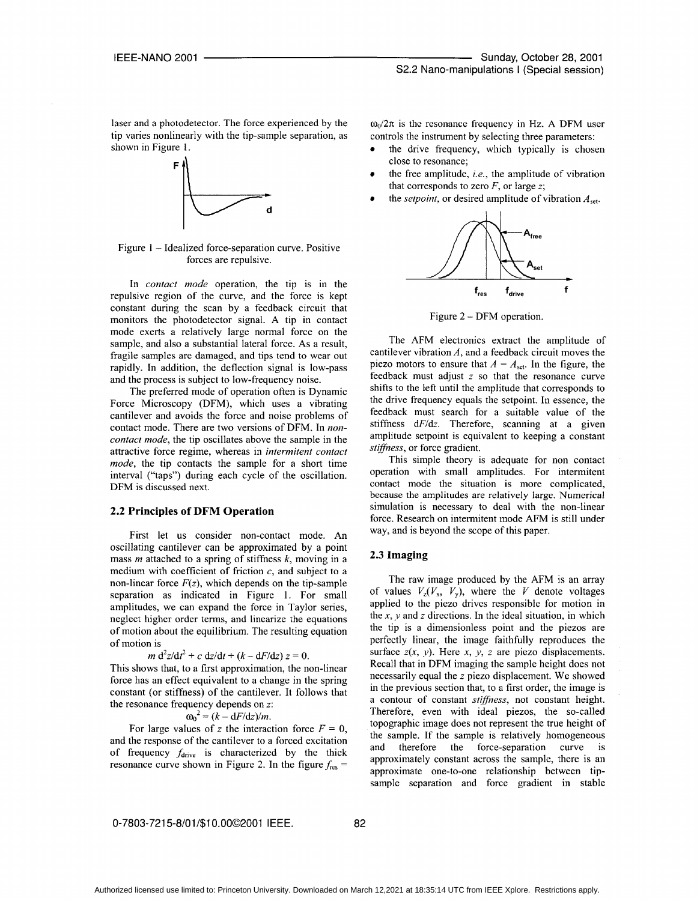laser and a photodetector. The force experienced by the tip varies nonlinearly with the tip-sample separation, as shown in Figure 1.



Figure 1 - Idealized force-separation curve. Positive forces are repulsive.

In *contact mode* operation, the tip is in the repulsive region of the curve, and the force is kept constant during the scan by a feedback circuit that monitors the photodetector signal. A tip in contact mode exerts a relatively large normal force on the sample, and also a substantial lateral force. As a result, fragile samples are damaged, and tips tend to wear out rapidly. In addition, the deflection signal is low-pass and the process is subject to low-frequency noise.

The preferred mode of operation often is Dynamic Force Microscopy (DFM), which uses a vibrating cantilever and avoids the force and noise problems of contact mode. There are two versions of DFM. In *noncontact mode*, the tip oscillates above the sample in the attractive force regime, whereas in *intermitent contact mode,* the tip contacts the sample for a short time interval ("taps") during each cycle of the oscillation. DFM is discussed next.

# **2.2 Principles of DFM Operation**

First let us consider non-contact mode. An oscillating cantilever can be approximated by a point mass *m* attached to a spring of stiffness *k,* moving in a medium with coefficient of friction *c,* and subject to a non-linear force  $F(z)$ , which depends on the tip-sample separation as indicated in Figure 1. For small amplitudes, we can expand the force in Taylor series, neglect higher order terms, and linearize the equations of motion about the equilibrium. The resulting equation of motion is

*m*  $d^2z/dt^2 + c dz/dt + (k - dF/dz) z = 0.$ 

This shows that, to a first approximation, the non-linear force has an effect equivalent to a change in the spring constant (or stiffness) of the cantilever. It follows that the resonance frequency depends on *z*:<br>  $\omega_0^2 = (k - dF/dz)/m$ .

$$
\omega_0^2 = (k - dF/dz)/m.
$$

For large values of *z* the interaction force  $F = 0$ , and the response of the cantilever to a forced excitation of frequency **&rive** is characterized by the thick resonance curve shown in Figure 2. In the figure  $f_{res}$  =

 $\omega_0/2\pi$  is the resonance frequency in Hz. A DFM user controls the instrument by selecting three parameters:

- the drive frequency, which typically is chosen close to resonance;
- the free amplitude, *i.e.,* the amplitude of vibration that corresponds to zero *F,* or large *2;*
- the *setpoint*, or desired amplitude of vibration  $A_{\text{set}}$ .



Figure 2 - DFM operation.

The AFM electronics extract the amplitude of cantilever vibration *A,* and a feedback circuit moves the piezo motors to ensure that  $A = A_{\text{set}}$ . In the figure, the feedback must adjust *z* so that the resonance curve shifts to the left until the amplitude that corresponds to the drive frequency equals the setpoint. In essence, the feedback must search for a suitable value of the stiffness *dF/dz*. Therefore, scanning at a given amplitude setpoint is equivalent to keeping a constant *stiffness,* or force gradient.

This simple theory is adequate for non contact operation with small amplitudes. For intermitent contact mode the situation is more complicated, because the amplitudes are relatively large. Numerical simulation is necessary to deal with the non-linear force. Research on intermitent mode AFM is still under way, and is beyond the scope of this paper.

#### **2.3 Imaging**

The raw image produced by the AFM is an array of values  $V_z(V_x, V_y)$ , where the *V* denote voltages applied to the piezo drives responsible for motion in the  $x$ ,  $y$  and  $z$  directions. In the ideal situation, in which the tip is a dimensionless point and the piezos are perfectly linear, the image faithfully reproduces the surface  $z(x, y)$ . Here  $x, y, z$  are piezo displacements. Recall that in DFM imaging the sample height does not necessarily equal the *z* piezo displacement. We showed in the previous section that, to a first order, the image is a contour of constant *stiyness,* not constant height. Therefore, even with ideal piezos, the so-called topographic image does not represent the true height of the sample. If the sample is relatively homogeneous and therefore the force-separation curve is approximately constant across the sample, there is an approximate one-to-one relationship between tipsample separation and force gradient in stable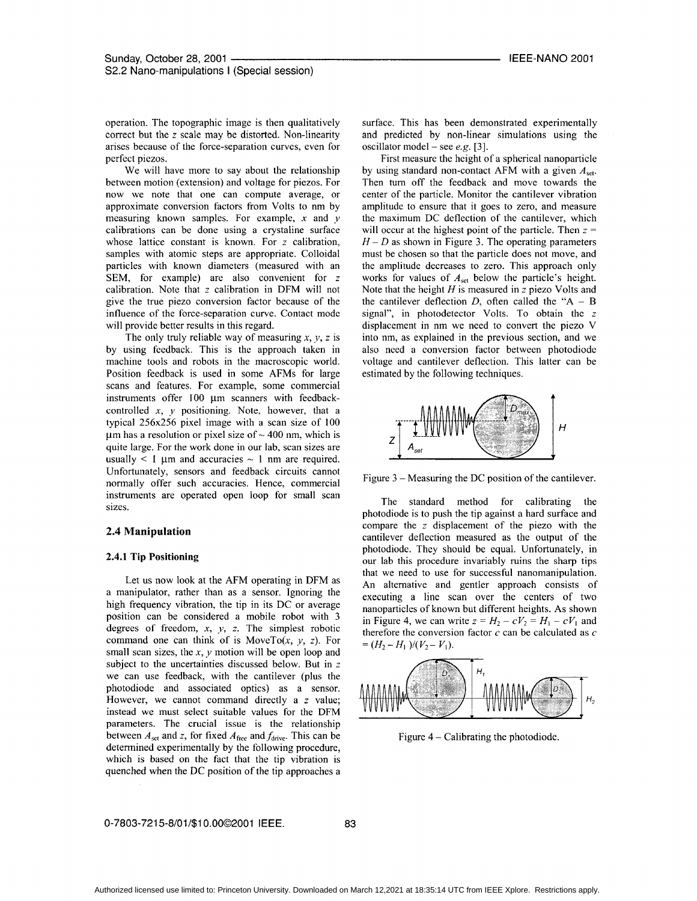operation. The topographic image is then qualitatively correct but the *z* scale may be distorted. Non-linearity arises because of the force-separation curves, even for perfect piezos.

We will have more to say about the relationship between motion (extension) and voltage for piezos. For now we note that one can compute average, or approximate conversion factors from Volts to nm by measuring known samples. For example, *x* and *y*  calibrations can be done using a crystaline surface whose lattice constant is known. For *z* calibration, samples with atomic steps are appropriate. Colloidal particles with known diameters (measured with an SEM, for example) are also convenient for *z*  calibration. Note that *z* calibration in DFM will not give the true piezo conversion factor because of the influence of the force-separation curve. Contact mode will provide better results in this regard.

The only truly reliable way of measuring x, *y, z* is by using feedback. This is the approach taken in machine tools and robots in the macroscopic world. Position feedback is used in some AFMs for large scans and features. For example, some commercial instruments offer  $100 \mu m$  scanners with feedbackcontrolled x, *y* positioning. Note, however, that a typical 256x256 pixel image with a scan size of 100  $\mu$ m has a resolution or pixel size of  $\sim$  400 nm, which is quite large. For the work done in our lab, scan sizes are usually  $\leq 1$  µm and accuracies  $\sim 1$  nm are required. Unfortunately, sensors and feedback circuits cannot normally offer such accuracies. Hence, commercial instruments are operated open loop for small scan sizes.

#### **2.4 Manipulation**

#### **2.4.1 Tip Positioning**

Let us now look at the AFM operating in DFM as a manipulator, rather than as a sensor. Ignoring the high frequency vibration, the tip in its DC or average position can be considered a mobile robot with 3 degrees of freedom,  $x$ ,  $y$ ,  $z$ . The simplest robotic command one can think of is MoveTo( $x$ ,  $y$ ,  $z$ ). For small scan sizes, the *x*, *y* motion will be open loop and subject to the uncertainties discussed below. But in *z*  we can use feedback, with the cantilever (plus the photodiode and associated optics) as a sensor. However, we cannot command directly a *z* value; instead we must select suitable values for the DFM parameters. The crucial issue is the relationship between  $A_{\text{set}}$  and *z*, for fixed  $A_{\text{free}}$  and  $f_{\text{drive}}$ . This can be determined experimentally by the following procedure, which is based on the fact that the tip vibration is quenched when the DC position of the tip approaches a

surface. This has been demonstrated experimentally and predicted by non-linear simulations using the oscillator model – see *e.g.* [3].

First measure the height of a spherical nanoparticle by using standard non-contact AFM with a given  $A_{\text{set}}$ . Then turn off the feedback and move towards the center of the particle. Monitor the cantilever vibration amplitude to ensure that it goes to zero, and measure the maximum DC deflection of the cantilever, which will occur at the highest point of the particle. Then *z* =  $H - D$  as shown in Figure 3. The operating parameters must be chosen so that the particle does not move, and the amplitude decreases to zero. This approach only works for values of  $A_{set}$  below the particle's height. Note that the height His measured in *z* piezo Volts and the cantilever deflection  $D$ , often called the "A - B signal", in photodetector Volts. To obtain the *z*  displacement in nm we need to convert the piezo V into nm, as explained in the previous section, and we also need a conversion factor between photodiode voltage and cantilever deflection. This latter can be estimated by the following techniques.



Figure 3 – Measuring the DC position of the cantilever.

The standard method for calibrating the photodiode is to push the tip against a hard surface and compare the *z* displacement of the piezo with the cantilever deflection measured as the output of the photodiode. They should be equal. Unfortunately, in our lab this procedure invariably ruins the sharp tips that we need to use for successful nanomanipulation. An alternative and gentler approach consists of executing a line scan over the centers of two nanoparticles of known but different heights. As shown in Figure 4, we can write  $z = H_2 - cV_2 = H_1 - cV_1$  and therefore the conversion factor  $c$  can be calculated as  $c$  $=(H_2 - H_1) / (V_2 - V_1).$ 



Figure  $4 -$  Calibrating the photodiode.

#### 0-7803-7215-8/01/\$10.00©2001 IEEE. 83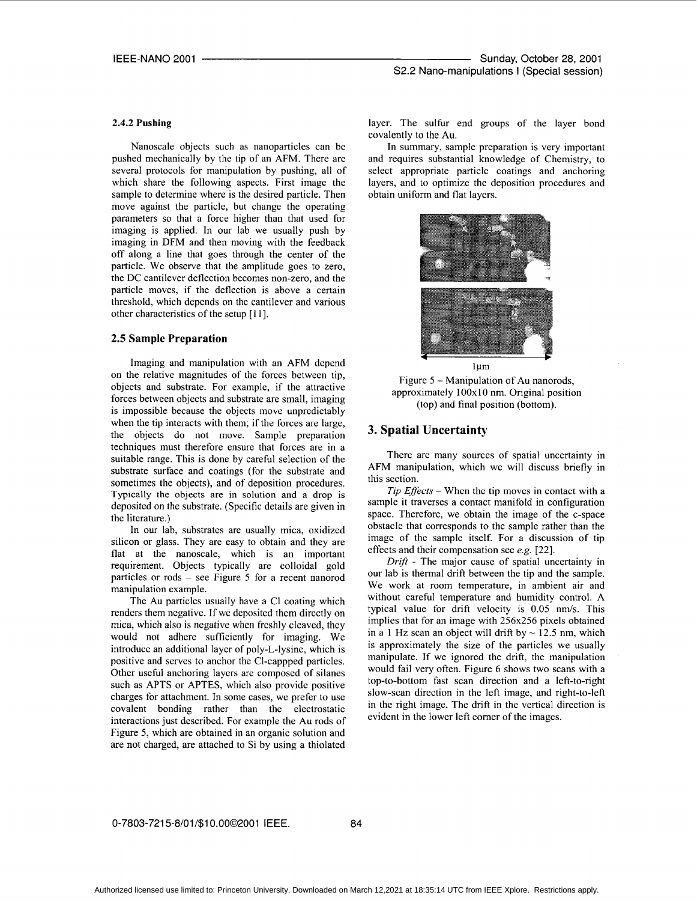#### **2.4.2 Pushing**

Nanoscale objects such as nanoparticles can be pushed mechanically by the tip of an AFM. There are several protocols for manipulation by pushing, all of which share the following aspects. First image the sample to determine where is the desired particle. Then move against the particle, but change the operating parameters so that a force higher than that used for imaging is applied. In our lab we usually push by imaging in DFM and then moving with the feedback off along a line that goes through the center of the particle. We observe that the amplitude goes to zero, the DC cantilever deflection becomes non-zero, and the particle moves, if the deflection is above a certain threshold, which depends on the cantilever and various other characteristics of the setup [11].

#### **2.5 Sample Preparation**

Imaging and manipulation with an AFM depend on the relative magnitudes of the forces between tip, objects and substrate. For example, if the attractive forces between objects and substrate are small, imaging is impossible because the objects move unpredictably when the tip interacts with them; if the forces are large, the objects do not move. Sample preparation techniques must therefore ensure that forces are in a suitable range. This is done by careful selection of the substrate surface and coatings (for the substrate and sometimes the objects), and of deposition procedures. Typically the objects are in solution and a drop is deposited on the substrate. (Specific details are given in the literature.)

In our lab, substrates are usually mica, oxidized silicon or glass. They are easy to obtain and they are flat at the nanoscale, which is an important requirement. Objects typically are colloidal gold particles or  $rods$  – see Figure 5 for a recent nanorod manipulation example.

The Au particles usually have a C1 coating which renders them negative. If we deposited them directly on mica, which also is negative when freshly cleaved, they would not adhere sufficiently for imaging. We introduce an additional layer of poly-L-lysine, which is positive and serves to anchor the C1-cappped particles. Other useful anchoring layers are composed of silanes such as APTS or APTES, which also provide positive charges for attachment. In some cases, we prefer to use covalent bonding rather than the electrostatic interactions just described. For example the Au rods of Figure *5,* which are obtained in an organic solution and are not charged, are attached to Si by using a thiolated

layer. The sulfur end groups of the layer bond covalently to the Au.

In summary, sample preparation is very important and requires substantial knowledge of Chemistry, to select appropriate particle coatings and anchoring layers, and to optimize the deposition procedures and obtain uniform and flat layers.



Figure *5* - Manipulation of Au nanorods, approximately  $100x10$  nm. Original position (top) and final position (bottom).

# **3. Spatial Uncertainty**

There are many sources of spatial uncertainty in AFM manipulation, which we will discuss briefly in this section.

*Tip Effects* - When the tip moves in contact with a sample it traverses a contact manifold in configuration space. Therefore, we obtain the image of the c-space obstacle that corresponds to the sample rather than the image of the sample itself. For a discussion of tip effects and their compensation see *e.g.* [22].

*Drifr* - The major cause of spatial uncertainty in our lab is thermal drift between the tip and the sample. We work at room temperature, in ambient air and without careful temperature and humidity control. A typical value for drift velocity is 0.05 nm/s. This implies that for an image with 256x256 pixels obtained in a 1 Hz scan an object will drift by  $\sim$  12.5 nm, which is approximately the size of the particles we usually manipulate. If we ignored the drift, the manipulation would fail very often. [Figure 6](#page-4-0) shows two scans with a top-to-bottom fast scan direction and a left-to-right slow-scan direction in the left image, and right-to-left in the right image. The drift in the vertical direction is evident in the lower left comer of the images.

#### 0-7803-7215-8/01/\$10.00©2001 IEEE. 84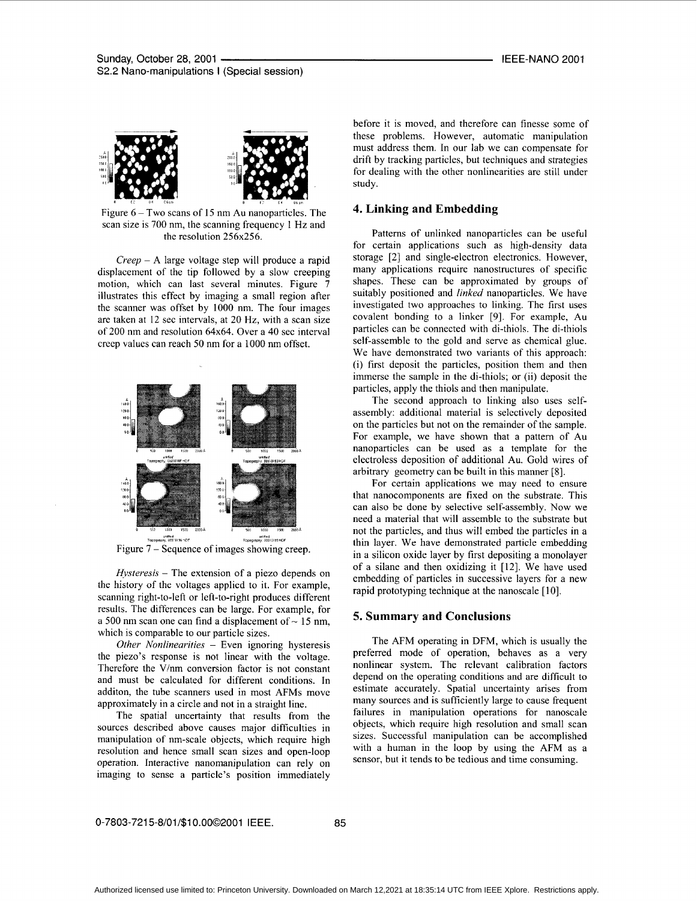

Figure  $6 - Two scans of 15 nm Au nanoparticles. The$ scan size is 700 nm, the scanning frequency 1 Hz and the resolution 256x256.

<span id="page-4-0"></span>*Creep* - A large voltage step will produce a rapid displacement of the tip followed by a slow creeping motion, which can last several minutes. Figure **7**  illustrates this effect by imaging a small region after the scanner was offset by 1000 nm. The four images are taken at 12 sec intervals, at 20 Hz, with a scan size of 200 nm and resolution 64x64. Over a 40 sec interval creep values can reach 50 nm for a 1000 nm offset.



Figure 7 – Sequence of images showing creep.

*Hysteresis* – The extension of a piezo depends on the history of the voltages applied to it. For example, scanning right-to-left or left-to-right produces different results. The differences can be large. For example, for a 500 nm scan one can find a displacement of  $\sim$  15 nm, which is comparable to our particle sizes.

*Other Nonlinearities* - Even ignoring hysteresis the piezo's response is not linear with the voltage. Therefore the V/nm conversion factor is not constant and must be calculated for different conditions. In additon, the tube scanners used in most AFMs move approximately in a circle and not in a straight line.

The spatial uncertainty that results from the sources described above causes major difficulties in manipulation of nm-scale objects, which require high resolution and hence small scan sizes and open-loop operation. Interactive nanomanipulation can rely on imaging to sense a particle's position immediately

before it is moved, and therefore can finesse some of these problems. However, automatic manipulation must address them. In our lab we can compensate for drift by tracking particles, but techniques and strategies for dealing with the other nonlinearities are still under study.

# **4. Linking and Embedding**

Patterns of unlinked nanoparticles can be useful for certain applications such as high-density data storage *[2]* and single-electron electronics. However, many applications require nanostructures of specific shapes. These can be approximated by groups of suitably positioned and *linked* nanoparticles. We have investigated two approaches to linking. The first uses covalent bonding to a linker **[9].** For example, Au particles can be connected with di-thiols. The di-thiols self-assemble to the gold and serve as chemical glue. We have demonstrated two variants of this approach: (i) first deposit the particles, position them and then immerse the sample in the di-thiols; or (ii) deposit the particles, apply the thiols and then manipulate.

The second approach to linking also uses selfassembly: additional material is selectively deposited on the particles but not on the remainder of the sample. For example, we have shown that a pattern of Au nanoparticles can be used as a template for the electroless deposition of additional Au. Gold wires of arbitrary geometry can be built in this manner [8].

For certain applications we may need to ensure that nanocomponents are fixed on the substrate. This can also be done by selective self-assembly. Now we need a material that will assemble to the substrate but not the particles, and thus will embed the particles in a thin layer. We have demonstrated particle embedding in a silicon oxide layer by first depositing a monolayer of a silane and then oxidizing it [12]. We have used embedding of particles in successive layers for a new rapid prototyping technique at the nanoscale [10].

#### **5. Summary and Conclusions**

The AFM operating in DFM, which is usually the preferred mode of operation, behaves as a very nonlinear system. The relevant calibration factors depend on the operating conditions and are difficult to estimate accurately. Spatial uncertainty arises from many sources and is sufficiently large to cause frequent failures in manipulation operations for nanoscale objects, which require high resolution and small scan sizes. Successful manipulation can be accomplished with a human in the loop by using the AFM as a sensor, but it tends to be tedious and time consuming.